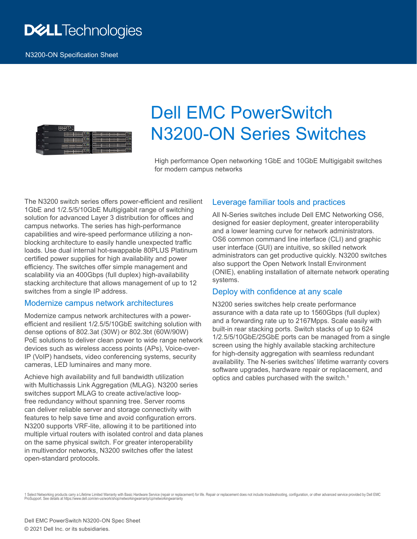## **DELLTechnologies**



# Dell EMC PowerSwitch N3200-ON Series Switches

High performance Open networking 1GbE and 10GbE Multigigabit switches for modern campus networks

The N3200 switch series offers power-efficient and resilient 1GbE and 1/2.5/5/10GbE Multigigabit range of switching solution for advanced Layer 3 distribution for offices and campus networks. The series has high-performance capabilities and wire-speed performance utilizing a nonblocking architecture to easily handle unexpected traffic loads. Use dual internal hot-swappable 80PLUS Platinum certified power supplies for high availability and power efficiency. The switches offer simple management and scalability via an 400Gbps (full duplex) high-availability stacking architecture that allows management of up to 12 switches from a single IP address.

#### Modernize campus network architectures

Modernize campus network architectures with a powerefficient and resilient 1/2.5/5/10GbE switching solution with dense options of 802.3at (30W) or 802.3bt (60W/90W) PoE solutions to deliver clean power to wide range network devices such as wireless access points (APs), Voice-over-IP (VoIP) handsets, video conferencing systems, security cameras, LED luminaires and many more.

Achieve high availability and full bandwidth utilization with Multichassis Link Aggregation (MLAG). N3200 series switches support MLAG to create active/active loopfree redundancy without spanning tree. Server rooms can deliver reliable server and storage connectivity with features to help save time and avoid configuration errors. N3200 supports VRF-lite, allowing it to be partitioned into multiple virtual routers with isolated control and data planes on the same physical switch. For greater interoperability in multivendor networks, N3200 switches offer the latest open-standard protocols.

#### Leverage familiar tools and practices

All N-Series switches include Dell EMC Networking OS6, designed for easier deployment, greater interoperability and a lower learning curve for network administrators. OS6 common command line interface (CLI) and graphic user interface (GUI) are intuitive, so skilled network administrators can get productive quickly. N3200 switches also support the Open Network Install Environment (ONIE), enabling installation of alternate network operating systems.

#### Deploy with confidence at any scale

N3200 series switches help create performance assurance with a data rate up to 1560Gbps (full duplex) and a forwarding rate up to 2167Mpps. Scale easily with built-in rear stacking ports. Switch stacks of up to 624 1/2.5/5/10GbE/25GbE ports can be managed from a single screen using the highly available stacking architecture for high-density aggregation with seamless redundant availability. The N-series switches' lifetime warranty covers software upgrades, hardware repair or replacement, and optics and cables purchased with the switch.<sup>1</sup>

1 Select Networking products carry a Lifetime Limited Warranty with Basic Hardware Service (repair or replacement) for life. Repair or replacement does not include troubleshooting, configuration, or other advanced service ProSupport. See details at https://www.dell.com/en-us/work/shop/networkingwarranty/cp/networkingwarranty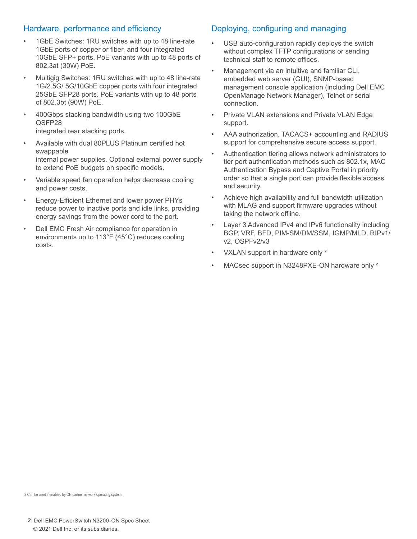#### Hardware, performance and efficiency

- 1GbE Switches: 1RU switches with up to 48 line-rate 1GbE ports of copper or fiber, and four integrated 10GbE SFP+ ports. PoE variants with up to 48 ports of 802.3at (30W) PoE.
- Multigig Switches: 1RU switches with up to 48 line-rate 1G/2.5G/ 5G/10GbE copper ports with four integrated 25GbE SFP28 ports. PoE variants with up to 48 ports of 802.3bt (90W) PoE.
- 400Gbps stacking bandwidth using two 100GbE QSFP28 integrated rear stacking ports.
- Available with dual 80PLUS Platinum certified hot swappable internal power supplies. Optional external power supply to extend PoE budgets on specific models.
- Variable speed fan operation helps decrease cooling and power costs.
- Energy-Efficient Ethernet and lower power PHYs reduce power to inactive ports and idle links, providing energy savings from the power cord to the port.
- Dell EMC Fresh Air compliance for operation in environments up to 113°F (45°C) reduces cooling costs.

#### Deploying, configuring and managing

- USB auto-configuration rapidly deploys the switch without complex TFTP configurations or sending technical staff to remote offices.
- Management via an intuitive and familiar CLI, embedded web server (GUI), SNMP-based management console application (including Dell EMC OpenManage Network Manager), Telnet or serial connection.
- Private VLAN extensions and Private VLAN Edge support.
- AAA authorization, TACACS+ accounting and RADIUS support for comprehensive secure access support.
- Authentication tiering allows network administrators to tier port authentication methods such as 802.1x, MAC Authentication Bypass and Captive Portal in priority order so that a single port can provide flexible access and security.
- Achieve high availability and full bandwidth utilization with MLAG and support firmware upgrades without taking the network offline.
- Layer 3 Advanced IPv4 and IPv6 functionality including BGP, VRF, BFD, PIM-SM/DM/SSM, IGMP/MLD, RIPv1/ v2, OSPFv2/v3
- VXLAN support in hardware only <sup>2</sup>
- MACsec support in N3248PXE-ON hardware only <sup>2</sup>

2 Can be used if enabled by ON partner network operating system.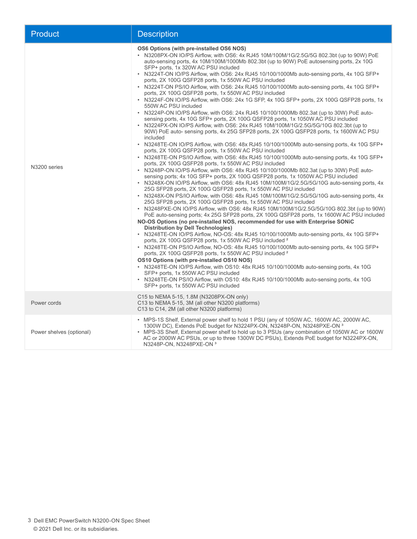| <b>Product</b>           | <b>Description</b>                                                                                                                                                                                                                                                                                                                                                                                                                                                                                                                                                                                                                                                                                                                                                                                                                                                                                                                                                                                                                                                                                                                                                                                                                                                                                                                                                                                                                                                                                                                                                                                                                                                                                                                                                                                                                                                                                                                                                                                                                                                                                                                                                                                                                                                                                                                                                                                                                                                                                                                                                                                                                                                                                                                                                                                                                                                                                                              |
|--------------------------|---------------------------------------------------------------------------------------------------------------------------------------------------------------------------------------------------------------------------------------------------------------------------------------------------------------------------------------------------------------------------------------------------------------------------------------------------------------------------------------------------------------------------------------------------------------------------------------------------------------------------------------------------------------------------------------------------------------------------------------------------------------------------------------------------------------------------------------------------------------------------------------------------------------------------------------------------------------------------------------------------------------------------------------------------------------------------------------------------------------------------------------------------------------------------------------------------------------------------------------------------------------------------------------------------------------------------------------------------------------------------------------------------------------------------------------------------------------------------------------------------------------------------------------------------------------------------------------------------------------------------------------------------------------------------------------------------------------------------------------------------------------------------------------------------------------------------------------------------------------------------------------------------------------------------------------------------------------------------------------------------------------------------------------------------------------------------------------------------------------------------------------------------------------------------------------------------------------------------------------------------------------------------------------------------------------------------------------------------------------------------------------------------------------------------------------------------------------------------------------------------------------------------------------------------------------------------------------------------------------------------------------------------------------------------------------------------------------------------------------------------------------------------------------------------------------------------------------------------------------------------------------------------------------------------------|
| N3200 series             | OS6 Options (with pre-installed OS6 NOS)<br>• N3208PX-ON IO/PS Airflow, with OS6: 4x RJ45 10M/100M/1G/2.5G/5G 802.3bt (up to 90W) PoE<br>auto-sensing ports, 4x 10M/100M/1000Mb 802.3bt (up to 90W) PoE autosensing ports, 2x 10G<br>SFP+ ports, 1x 320W AC PSU included<br>• N3224T-ON IO/PS Airflow, with OS6: 24x RJ45 10/100/1000Mb auto-sensing ports, 4x 10G SFP+<br>ports, 2X 100G QSFP28 ports, 1x 550W AC PSU included<br>• N3224T-ON PS/IO Airflow, with OS6: 24x RJ45 10/100/1000Mb auto-sensing ports, 4x 10G SFP+<br>ports, 2X 100G QSFP28 ports, 1x 550W AC PSU included<br>• N3224F-ON IO/PS Airflow, with OS6: 24x 1G SFP, 4x 10G SFP+ ports, 2X 100G QSFP28 ports, 1x<br>550W AC PSU included<br>• N3224P-ON IO/PS Airflow, with OS6: 24x RJ45 10/100/1000Mb 802.3at (up to 30W) PoE auto-<br>sensing ports, 4x 10G SFP+ ports, 2X 100G QSFP28 ports, 1x 1050W AC PSU included<br>• N3224PX-ON IO/PS Airflow, with OS6: 24x RJ45 10M/100M/1G/2.5G/5G/10G 802.3bt (up to<br>90W) PoE auto- sensing ports, 4x 25G SFP28 ports, 2X 100G QSFP28 ports, 1x 1600W AC PSU<br>included<br>• N3248TE-ON IO/PS Airflow, with OS6: 48x RJ45 10/100/1000Mb auto-sensing ports, 4x 10G SFP+<br>ports, 2X 100G QSFP28 ports, 1x 550W AC PSU included<br>• N3248TE-ON PS/IO Airflow, with OS6: 48x RJ45 10/100/1000Mb auto-sensing ports, 4x 10G SFP+<br>ports, 2X 100G QSFP28 ports, 1x 550W AC PSU included<br>• N3248P-ON IO/PS Airflow, with OS6: 48x RJ45 10/100/1000Mb 802.3at (up to 30W) PoE auto-<br>sensing ports; 4x 10G SFP+ ports, 2X 100G QSFP28 ports, 1x 1050W AC PSU included<br>• N3248X-ON IO/PS Airflow, with OS6: 48x RJ45 10M/100M/1G/2.5G/5G/10G auto-sensing ports, 4x<br>25G SFP28 ports, 2X 100G QSFP28 ports, 1x 550W AC PSU included<br>• N3248X-ON PS/IO Airflow, with OS6: 48x RJ45 10M/100M/1G/2.5G/5G/10G auto-sensing ports, 4x<br>25G SFP28 ports, 2X 100G QSFP28 ports, 1x 550W AC PSU included<br>• N3248PXE-ON IO/PS Airflow, with OS6: 48x RJ45 10M/100M/1G/2.5G/5G/10G 802.3bt (up to 90W)<br>PoE auto-sensing ports; 4x 25G SFP28 ports, 2X 100G QSFP28 ports, 1x 1600W AC PSU included<br>NO-OS Options (no pre-installed NOS, recommended for use with Enterprise SONIC<br><b>Distribution by Dell Technologies)</b><br>• N3248TE-ON IO/PS Airflow, NO-OS: 48x RJ45 10/100/1000Mb auto-sensing ports, 4x 10G SFP+<br>ports, 2X 100G QSFP28 ports, 1x 550W AC PSU included <sup>2</sup><br>• N3248TE-ON PS/IO Airflow, NO-OS: 48x RJ45 10/100/1000Mb auto-sensing ports, 4x 10G SFP+<br>ports, 2X 100G QSFP28 ports, 1x 550W AC PSU included <sup>2</sup><br><b>OS10 Options (with pre-installed OS10 NOS)</b><br>• N3248TE-ON IO/PS Airflow, with OS10: 48x RJ45 10/100/1000Mb auto-sensing ports, 4x 10G<br>SFP+ ports, 1x 550W AC PSU included<br>• N3248TE-ON PS/IO Airflow, with OS10: 48x RJ45 10/100/1000Mb auto-sensing ports, 4x 10G<br>SFP+ ports, 1x 550W AC PSU included |
| Power cords              | C15 to NEMA 5-15, 1.8M (N3208PX-ON only)<br>C13 to NEMA 5-15, 3M (all other N3200 platforms)<br>C13 to C14, 2M (all other N3200 platforms)                                                                                                                                                                                                                                                                                                                                                                                                                                                                                                                                                                                                                                                                                                                                                                                                                                                                                                                                                                                                                                                                                                                                                                                                                                                                                                                                                                                                                                                                                                                                                                                                                                                                                                                                                                                                                                                                                                                                                                                                                                                                                                                                                                                                                                                                                                                                                                                                                                                                                                                                                                                                                                                                                                                                                                                      |
| Power shelves (optional) | • MPS-1S Shelf, External power shelf to hold 1 PSU (any of 1050W AC, 1600W AC, 2000W AC,<br>1300W DC), Extends PoE budget for N3224PX-ON, N3248P-ON, N3248PXE-ON 3<br>• MPS-3S Shelf, External power shelf to hold up to 3 PSUs (any combination of 1050W AC or 1600W<br>AC or 2000W AC PSUs, or up to three 1300W DC PSUs), Extends PoE budget for N3224PX-ON,<br>N3248P-ON, N3248PXE-ON 3                                                                                                                                                                                                                                                                                                                                                                                                                                                                                                                                                                                                                                                                                                                                                                                                                                                                                                                                                                                                                                                                                                                                                                                                                                                                                                                                                                                                                                                                                                                                                                                                                                                                                                                                                                                                                                                                                                                                                                                                                                                                                                                                                                                                                                                                                                                                                                                                                                                                                                                                     |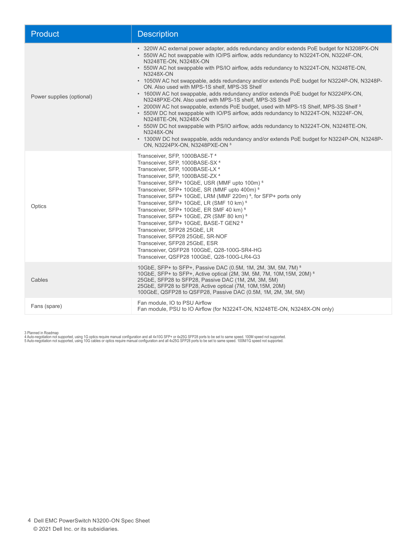| <b>Product</b>            | <b>Description</b>                                                                                                                                                                                                                                                                                                                                                                                                                                                                                                                                                                                                                                                                                                                                                                                                                                                                                                                                                                                                                                                         |
|---------------------------|----------------------------------------------------------------------------------------------------------------------------------------------------------------------------------------------------------------------------------------------------------------------------------------------------------------------------------------------------------------------------------------------------------------------------------------------------------------------------------------------------------------------------------------------------------------------------------------------------------------------------------------------------------------------------------------------------------------------------------------------------------------------------------------------------------------------------------------------------------------------------------------------------------------------------------------------------------------------------------------------------------------------------------------------------------------------------|
| Power supplies (optional) | • 320W AC external power adapter, adds redundancy and/or extends PoE budget for N3208PX-ON<br>• 550W AC hot swappable with IO/PS airflow, adds redundancy to N3224T-ON, N3224F-ON,<br>N3248TE-ON, N3248X-ON<br>• 550W AC hot swappable with PS/IO airflow, adds redundancy to N3224T-ON, N3248TE-ON,<br>N3248X-ON<br>• 1050W AC hot swappable, adds redundancy and/or extends PoE budget for N3224P-ON, N3248P-<br>ON. Also used with MPS-1S shelf, MPS-3S Shelf<br>• 1600W AC hot swappable, adds redundancy and/or extends PoE budget for N3224PX-ON,<br>N3248PXE-ON. Also used with MPS-1S shelf, MPS-3S Shelf<br>• 2000W AC hot swappable, extends PoE budget, used with MPS-1S Shelf, MPS-3S Shelf <sup>3</sup><br>• 550W DC hot swappable with IO/PS airflow, adds redundancy to N3224T-ON, N3224F-ON,<br>N3248TE-ON, N3248X-ON<br>• 550W DC hot swappable with PS/IO airflow, adds redundancy to N3224T-ON, N3248TE-ON,<br>N3248X-ON<br>• 1300W DC hot swappable, adds redundancy and/or extends PoE budget for N3224P-ON, N3248P-<br>ON, N3224PX-ON, N3248PXE-ON 3 |
| Optics                    | Transceiver, SFP, 1000BASE-T <sup>4</sup><br>Transceiver, SFP, 1000BASE-SX <sup>4</sup><br>Transceiver, SFP, 1000BASE-LX <sup>4</sup><br>Transceiver, SFP, 1000BASE-ZX 4<br>Transceiver, SFP+ 10GbE, USR (MMF upto 100m) <sup>5</sup><br>Transceiver, SFP+ 10GbE, SR (MMF upto 400m) <sup>5</sup><br>Transceiver, SFP+ 10GbE, LRM (MMF 220m) <sup>5</sup> , for SFP+ ports only<br>Transceiver, SFP+ 10GbE, LR (SMF 10 km) <sup>5</sup><br>Transceiver, SFP+ 10GbE, ER SMF 40 km) <sup>5</sup><br>Transceiver, SFP+ 10GbE, ZR (SMF 80 km) <sup>5</sup><br>Transceiver, SFP+ 10GbE, BASE-T GEN2 <sup>5</sup><br>Transceiver, SFP28 25GbE, LR<br>Transceiver, SFP28 25GbE, SR-NOF<br>Transceiver, SFP28 25GbE, ESR<br>Transceiver, QSFP28 100GbE, Q28-100G-SR4-HG<br>Transceiver, QSFP28 100GbE, Q28-100G-LR4-G3                                                                                                                                                                                                                                                             |
| Cables                    | 10GbE, SFP+ to SFP+, Passive DAC (0.5M, 1M, 2M, 3M, 5M, 7M) <sup>5</sup><br>10GbE, SFP+ to SFP+, Active optical (2M, 3M, 5M, 7M, 10M, 15M, 20M) <sup>5</sup><br>25GbE, SFP28 to SFP28, Passive DAC (1M, 2M, 3M, 5M)<br>25GbE, SFP28 to SFP28, Active optical (7M, 10M, 15M, 20M)<br>100GbE, QSFP28 to QSFP28, Passive DAC (0.5M, 1M, 2M, 3M, 5M)                                                                                                                                                                                                                                                                                                                                                                                                                                                                                                                                                                                                                                                                                                                           |
| Fans (spare)              | Fan module, IO to PSU Airflow<br>Fan module, PSU to IO Airflow (for N3224T-ON, N3248TE-ON, N3248X-ON only)                                                                                                                                                                                                                                                                                                                                                                                                                                                                                                                                                                                                                                                                                                                                                                                                                                                                                                                                                                 |

3 Planned in Roadmap<br>4 Auto-negotiation not supported, using 1G optics require manual configuration and all 4x10G SFP≁ or 4x25G SFP28 ports to be set to same speed. 100M speed not supported.<br>5 Auto-negotiation not support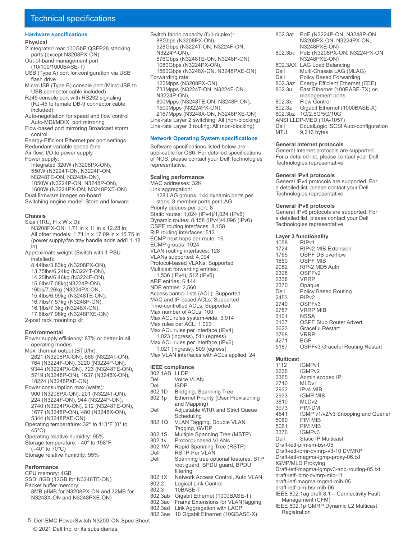#### **Hardware specifications**

#### **Physical**

- 2 integrated rear 100GbE QSFP28 stacking ports (except N3208PX-ON)
- Out-of-band management port (10/100/1000BASE-T)
- USB (Type A) port for configuration via USB flash drive
- MicroUSB (Type B) console port (MicroUSB to USB connector cable included)
- RJ45 console port with RS232 signaling (RJ-45 to female DB-9 connector cable included)
- Auto-negotiation for speed and flow control Auto-MDI/MDIX, port mirroring
- Flow-based port mirroring Broadcast storm control
- Energy-Efficient Ethernet per port settings Redundant variable speed fans
- Air flow: I/O to power supply
- Power supply:
- Integrated 320W (N3208PX-ON), 550W (N3224T-ON, N3224F-ON, N3248TE-ON, N3248X-ON), 1050W (N3224P-ON, N3248P-ON), 1600W (N3224PX-ON, N3248PXE-ON)
- Dual firmware images on-board Switching engine model: Store and forward
- **Chassis**
- Size (1RU, H x W x D): N3208PX-ON: 1.71 in x 11 in x 12.28 in; All other models: 1.71 in x 17.09 in x 15.75 in (power supply/fan tray handle adds add'l 1.18 in) Approximate weight (Switch with 1 PSU installed):
- 8.44lbs/3.83kg (N3208PX-ON),
- 13.75lbs/6.24kg (N3224T-ON), 14.25lbs/6.46kg (N3224F-ON), 15.6lbs/7.08kg(N3224P-ON),
- 16lbs/7.26kg (N3224PX-ON,
- 15.4lbs/6.99kg (N3248TE-ON),
- 16.7lbs/7.57kg (N3248P-ON),
- 16.1lbs/7.3kg (N3248X-ON),
- 17.6lbs/7.98kg (N3248PXE-ON)
- 2-post rack mounting kit

#### **Environmental**

- Power supply efficiency: 87% or better in all operating modes
- Max. thermal output (BTU/hr): 2821 (N3208PX-ON), 686 (N3224T-ON), 764 (N3224F-ON), 3220 (N3224P-ON), 9344 (N3224PX-ON), 723 (N3248TE-ON), 5719 (N3248P-ON), 1637 (N3248X-ON),
- 18224 (N3248PXE-ON) Power consumption max (watts): 900 (N3208PX-ON), 201 (N3224T-ON), 224 (N3224F-ON), 944 (N3224P-ON), 2740 (N3224PX-ON), 212 (N3248TE-ON),
- 1677 (N3248P-ON), 480 (N3248X-ON), 5344 (N3248PXE-ON)
- Operating temperature: 32° to 113°F (0° to 45°C)
- Operating relative humidity: 95%
- Storage temperature: –40° to 158°F
- (–40° to 70°C) Storage relative humidity: 95%
- **Performance**
- CPU memory: 4GB
- SSD: 8GB (32GB for N3248TE-ON) Packet buffer memory:
- 8MB (4MB for N3208PX-ON and 32MB for N3248X-ON and N3248PXE-ON)
- Switch fabric capacity (full-duplex): 88Gbps (N3208PX-ON), 528Gbps (N3224T-ON, N3224F-ON, N3224P-ON), 576Gbps (N3248TE-ON, N3248P-ON), 1080Gbps (N3224PX-ON), 1560Gbps (N3248X-ON, N3248PXE-ON) Forwarding rate: 122Mpps (N3208PX-ON), 733Mpps (N3224T-ON, N3224F-ON, N3224P-ON), 800Mpps (N3248TE-ON, N3248P-ON), 1500Mpps (N3224PX-ON),
- 2167Mpps (N3248X-ON, N3248PXE-ON) Line-rate Layer 2 switching: All (non-blocking)
- Line-rate Layer 3 routing: All (non-blocking)

#### **Network Operating System specifications**

Software specifications listed below are applicable for OS6. For detailed specifications of NOS, please contact your Dell Technologies representative.

#### **Scaling performance**

MAC addresses: 32K Link aggregation: 128 LAG groups, 144 dynamic ports per stack, 8 member ports per LAG Priority queues per port: 8 Static routes: 1,024 (IPv4)/1,024 (IPv6) Dynamic routes: 8,158 (IPv4)/4,096 (IPv6) OSPF routing interfaces: 8,158 RIP routing interfaces: 512 ECMP next hops per route: 16 ECMP groups: 1024 VLAN routing interfaces: 128 VLANs supported: 4,094 Protocol-based VLANs: Supported Multicast forwarding entries: 1,536 (IPv4), 512 (IPv6) ARP entries: 6,144 NDP entries: 2,560 Access control lists (ACL): Supported MAC and IP-based ACLs: Supported Time-controlled ACLs: Supported Max number of ACLs: 100 Max ACL rules system-wide: 3,914 Max rules per ACL: 1,023 Max ACL rules per interface (IPv4): 1,023 (ingress), 511 (egress) Max ACL rules per interface (IPv6): 1,021 (ingress), 509 (egress) Max VLAN interfaces with ACLs applied: 24

#### **IEEE compliance**

- 802.1AB LLDP<br>Dell Voice Voice VLAN
- 
- Dell ISDP<br>802.1D Brida
- 802.1D Bridging, Spanning Tree<br>802.1p Ethernet Priority (User P Ethernet Priority (User Provisioning and Mapping)
- Dell Adjustable WRR and Strict Queue Scheduling
- 802.1Q VLAN Tagging, Double VLAN Tagging, GVRP
- 802.1S Multiple Spanning Tree (MSTP)<br>802.1v Protocol-based VLANs
- 802.1v Protocol-based VLANs<br>802.1W Rapid Spanning Tree (I
- 802.1W Rapid Spanning Tree (RSTP)<br>Dell RSTP-Per VLAN
- Dell RSTP-Per VLAN<br>Dell Spanning tree on
	- Spanning tree optional features: STP root guard, BPDU guard, BPDU filtering
- 802.1X Network Access Control, Auto VLAN<br>802.2 Logical Link Control
- 802.2 Logical Link Control<br>802.3 10BASE-T
- 802.3 10BASE-T<br>802.3ab Gigabit Eth
- 802.3ab Gigabit Ethernet (1000BASE-T)
- 802.3ac Frame Extensions for VLANTagging Link Aggregation with LACP
- 802.3ae 10 Gigabit Ethernet (10GBASE-X)
- 802.3at PoE (N3224P-ON, N3248P-ON, N3208PX-ON, N3224PX-ON, N3248PXE-ON) 802.3bt PoE (N3208PX-ON, N3224PX-ON, N3248PXE-ON)
- 802.3AX LAG Load Balancing<br>Dell Multi-Chassis LAG (N
- Dell Multi-Chassis LAG (MLAG)<br>Dell Policy Based Forwarding
- Dell Policy Based Forwarding<br>802.3az Energy Efficient Ethernet
- 802.3az Energy Efficient Ethernet (EEE)<br>802.3u Fast Ethernet (100BASE-TX) or Fast Ethernet (100BASE-TX) on
- management ports
- 802.3x Flow Control<br>802.3z Gigabit Ether
- Gigabit Ethernet (1000BASE-X)
- 802.3bz 1G/2.5G/5G/10G
- ANSI LLDP-MED (TIA-1057)<br>Dell Fquall ogic iSCSL
	- Dell EqualLogic iSCSI Auto-configuration<br>MTU 9,216 bytes  $9,216$  bytes

#### **General Internet protocols**

General Internet protocols are supported. For a detailed list, please contact your Dell Technologies representative.

#### **General IPv4 protocols**

General IPv4 protocols are supported. For a detailed list, please contact your Dell Technologies representative.

#### **General IPv6 protocols**

General IPv6 protocols are supported. For a detailed list, please contact your Dell Technologies representative.

## **Layer 3 functionality**

1058 RIPv1<br>1724 RIPv2 1724 RIPv2 MIB Extension<br>1765 OSPF DB overflow 1765 OSPF DB overflow<br>1850 OSPF MIB OSPF MIB 2082 RIP-2 MD5 Auth OSPFv2<br>VRRP 2338<br>2370 2370 Opaque<br>Dell Policy B Policy Based Routing 2453 RIPv2<br>2740 OSPF 2740 OSPFv3<br>2787 VRRP M 2787 VRRP MIB<br>3101 NSSA 3101 NSSA<br>3137 OSPF 3137 OSPF Stub Router Advert<br>3623 Graceful Restart 3623 Graceful Restart VRRP<br>BGP 4271<br>5187 OSPFv3 Graceful Routing Restart

## **Multicast**

1112 IGMPv1<br>2236 IGMPv2 2236 IGMPv2<br>2365 Admin s 2365 Admin scoped IP<br>2710 MLDv1 2710 MLDv1<br>2932 IPv4 Ml 2932 IPv4 MIB<br>2933 IGMP MII **IGMP MIB** 3810 MLDv2<br>3973 PIM-DN 3973 PIM-DM<br>4541 IGMP v1 4541 IGMP v1/v2/v3 Snooping and Querier 5060 PIM MIB PIM MIB 3376 IGMPv3<br>Dell Static IP Static IP Multicast Draft-ietf-pim-sm-bsr-05 Draft-ietf-idmr-dvmrp-v3-10 DVMRP Draft-ietf-magma-igmp-proxy-06.txt IGMP/MLD Proxying Draft-ietf-magma-igmpv3-and-routing-05.txt draft-ietf-idmr-dvmrp-mib-11 draft-ietf-magma-mgmd-mib-05 draft-ietf-pim-bsr-mib-06 IEEE 802.1ag draft 8.1 – Connectivity Fault Management (CFM) IEEE 802.1p GMRP Dynamic L2 Multicast **Registration** 

5 Dell EMC PowerSwitch N3200-ON Spec Sheet © 2021 Dell Inc. or its subsidiaries.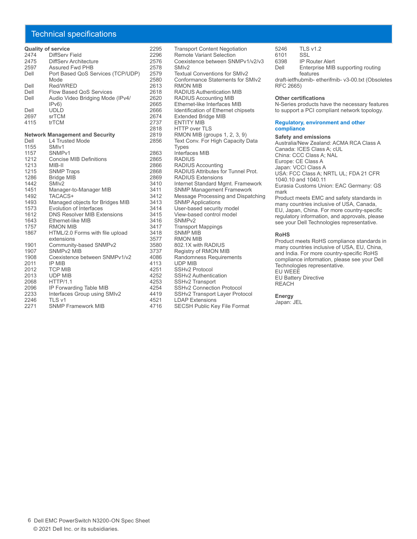#### Technical specifications

#### **Quality of service**

| 2474 | DiffServ Field                    |
|------|-----------------------------------|
| 2475 | DiffServ Architecture             |
| 2597 | Assured Fwd PHB                   |
| Dell | Port Based QoS Services (TCP/UDP) |
|      | Mode                              |
| Dell | Red/WRED                          |
| Dell | <b>Flow Based OoS Services</b>    |
| Dell | Audio Video Bridging Mode (IPv4/  |
|      | IPv6)                             |
| Dell | UDLD                              |
| 2697 | srTCM                             |
| 4115 | trTCM                             |

#### **Network Management and Security**

| Dell | <b>L4 Trusted Mode</b>             |
|------|------------------------------------|
| 1155 | SMI <sub>v1</sub>                  |
| 1157 | SNMP <sub>v1</sub>                 |
| 1212 | <b>Concise MIB Definitions</b>     |
| 1213 | MIB-II                             |
| 1215 | <b>SNMP Traps</b>                  |
| 1286 | <b>Bridge MIB</b>                  |
| 1442 | SMI <sub>v2</sub>                  |
| 1451 | Manager-to-Manager MIB             |
| 1492 | TACACS+                            |
| 1493 | Managed objects for Bridges MIB    |
| 1573 | Evolution of Interfaces            |
| 1612 | <b>DNS Resolver MIB Extensions</b> |
| 1643 | Ethernet-like MIB                  |
| 1757 | <b>RMON MIB</b>                    |
| 1867 | HTML/2.0 Forms with file upload    |
|      | extensions                         |
| 1901 | Community-based SNMPv2             |
| 1907 | SNMP <sub>v2</sub> MIB             |
| 1908 | Coexistence between SNMPv1/v2      |
| 2011 | <b>IP MIB</b>                      |
| 2012 | <b>TCP MIB</b>                     |
| 2013 | <b>UDP MIB</b>                     |
| 2068 | HTTP/1.1                           |
| 2096 | IP Forwarding Table MIB            |
| 2233 | Interfaces Group using SMIv2       |
| 2246 | TLS v1                             |
| 2271 | <b>SNMP Framework MIB</b>          |

2295 Transport Content Negotiation<br>2296 Remote Variant Selection 2296 Remote Variant Selection<br>2576 Coexistence between SNI Coexistence between SNMPv1/v2/v3<br>SMIv2 2578<br>2579 2579 Textual Conventions for SMIv2<br>2580 Conformance Statements for S 2580 Conformance Statements for SMIv2<br>2613 RMON MIB 2613 RMON MIB<br>2618 RADIUS Au 2618 RADIUS Authentication MIB<br>2620 RADIUS Accounting MIB 2620 RADIUS Accounting MIB<br>2665 Ethernet-like Interfaces M 2665 Ethernet-like Interfaces MIB<br>2666 Identification of Ethernet chi 2666 Identification of Ethernet chipsets<br>2674 Extended Bridge MIB 2674 Extended Bridge MIB 2737 ENTITY MIB<br>2818 HTTP over T 2818 HTTP over TLS<br>2819 RMON MIB (gro 2819 RMON MIB (groups 1, 2, 3, 9)<br>2856 Text Conv. For High Capacity I Text Conv. For High Capacity Data **Types** 2863 Interfaces MIB<br>2865 RADIUS 2865 RADIUS 2866 RADIUS Accounting<br>2868 RADIUS Attributes fo 2868 RADIUS Attributes for Tunnel Prot.<br>2869 RADIUS Extensions 2869 RADIUS Extensions<br>3410 Internet Standard Mo 3410 Internet Standard Mgmt. Framework<br>3411 SNMP Management Framework 3411 SNMP Management Framework 3412 Message Processing and Dispatching 3413 SNMP Applications<br>3414 User-based security 3414 User-based security model<br>3415 View-based control model 3415 View-based control model<br>3416 SNMPv2 3416 SNMPv2<br>3417 Transpor 3417 Transport Mappings<br>3418 SNMP MIB 3418 SNMP<sup>I</sup> MIB<br>3577 RMON MIB 3577 RMON MIB<br>3580 802.1X with 3580 802.1X with RADIUS<br>3737 Registry of RMON MI 3737 Registry of RMON MIB<br>4086 Randomness Requirem 4086 Randomness Requirements<br>4113 UDP MIB 4113 UDP MIB<br>4251 SSHv2 Pr 4251 SSHv2 Protocol<br>4252 SSHv2 Authentic 4252 SSHv2 Authentication<br>4253 SSHv2 Transport 4253 SSHv2 Transport<br>4254 SSHv2 Connectio 4254 SSHv2 Connection Protocol<br>4419 SSHv2 Transport Laver Proto 4419 SSHv2 Transport Layer Protocol<br>4521 LDAP Extensions 4521 LDAP Extensions<br>4716 SECSH Public Ke SECSH Public Key File Format

5246 TLS v1.2<br>6101 SSI

- 6101<br>6398
- 6398 IP Router Alert<br>Dell Fnterprise MIB
- Enterprise MIB supporting routing features

draft-ietfhubmib- etherifmib- v3-00.txt (Obsoletes RFC 2665)

#### **Other certifications**

N-Series products have the necessary features to support a PCI compliant network topology.

#### **Regulatory, environment and other compliance**

#### **Safety and emissions**

Australia/New Zealand: ACMA RCA Class A Canada: ICES Class A; cUL China: CCC Class A; NAL Europe: CE Class A Japan: VCCI Class A USA: FCC Class A; NRTL UL; FDA 21 CFR 1040.10 and 1040.11 Eurasia Customs Union: EAC Germany: GS mark Product meets EMC and safety standards in many countries inclusive of USA, Canada, EU, Japan, China. For more country-specific regulatory information, and approvals, please see your Dell Technologies representative. **RoHS** Product meets RoHS compliance standards in

many countries inclusive of USA, EU, China, and India. For more country-specific RoHS compliance information, please see your Dell Technologies representative. EU WEEE

EU Battery Directive REACH

#### **Energy**

Japan: JEL